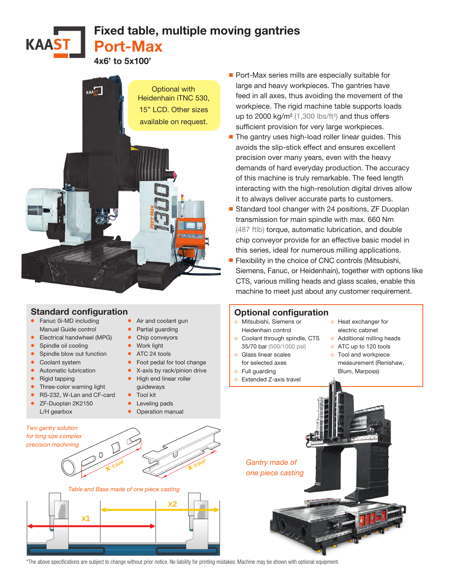Fixed table, multiple moving gantries Port-Max

4x6' to 5x100'



## Standard configuration

- Fanuc 0i-MD including Manual Guide control
- Electrical handwheel (MPG)
- Spindle oil cooling
- Spindle blow out function
- Coolant system
- Automatic lubrication
- Rigid tapping

**KAAST** 

- Three-color warning light
- RS-232, W-Lan and CF-card
- ZF-Duoplan 2K2150 L/H gearbox
- Air and coolant gun
- Partial quarding
- Chip conveyors
- Work light
- ATC 24 tools
- Foot pedal for tool change
- X-axis by rack/pinion drive
- High end linear roller guideways
- Tool kit
- Leveling pads
- Operation manual
- Port-Max series mills are especially suitable for large and heavy workpieces. The gantries have feed in all axes, thus avoiding the movement of the workpiece. The rigid machine table supports loads up to 2000 kg/m<sup>2</sup> (1,300 lbs/ft<sup>2</sup>) and thus offers sufficient provision for very large workpieces.
- The gantry uses high-load roller linear guides. This avoids the slip-stick effect and ensures excellent precision over many years, even with the heavy demands of hard everyday production. The accuracy of this machine is truly remarkable. The feed length interacting with the high-resolution digital drives allow it to always deliver accurate parts to customers.
- Standard tool changer with 24 positions, ZF Duoplan transmission for main spindle with max. 660 Nm (487 ftlb) torque, automatic lubrication, and double chip conveyor provide for an effective basic model in this series, ideal for numerous milling applications.
- Flexibility in the choice of CNC controls (Mitsubishi, Siemens, Fanuc, or Heidenhain), together with options like CTS, various milling heads and glass scales, enable this machine to meet just about any customer requirement.

## Optional configuration

- ੦ Mitsubishi, Siemens or Heidenhain control
- ੦ Coolant through spindle, CTS 35/70 bar (500/1000 psi)
- ੦ Glass linear scales
- for selected axes
- ੦ Full guarding
- ੦ Extended Z-axis travel
- ੦ Heat exchanger for electric cabinet
- o Additional milling heads
- ੦ ATC up to 120 tools
- ੦ Tool and workpiece measurement (Renishaw, Blum, Marposs)

*Gantry made of one piece casting*





\*The above specifications are subject to change without prior notice. No liability for printing mistakes. Machine may be shown with optional equipment. **X2**